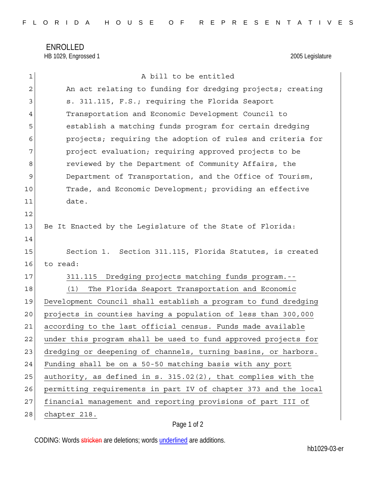ENROLLED HB 1029, Engrossed 1 2005 Legislature

| $\mathbf 1$    | A bill to be entitled                                           |
|----------------|-----------------------------------------------------------------|
| $\overline{c}$ | An act relating to funding for dredging projects; creating      |
| 3              | s. 311.115, F.S.; requiring the Florida Seaport                 |
| 4              | Transportation and Economic Development Council to              |
| 5              | establish a matching funds program for certain dredging         |
| 6              | projects; requiring the adoption of rules and criteria for      |
| 7              | project evaluation; requiring approved projects to be           |
| 8              | reviewed by the Department of Community Affairs, the            |
| 9              | Department of Transportation, and the Office of Tourism,        |
| 10             | Trade, and Economic Development; providing an effective         |
| 11             | date.                                                           |
| 12             |                                                                 |
| 13             | Be It Enacted by the Legislature of the State of Florida:       |
| 14             |                                                                 |
| 15             | Section 1. Section 311.115, Florida Statutes, is created        |
| 16             | to read:                                                        |
| 17             | 311.115 Dredging projects matching funds program.--             |
| 18             | The Florida Seaport Transportation and Economic<br>(1)          |
| 19             | Development Council shall establish a program to fund dredging  |
| 20             | projects in counties having a population of less than 300,000   |
| 21             | according to the last official census. Funds made available     |
| 22             | under this program shall be used to fund approved projects for  |
| 23             | dredging or deepening of channels, turning basins, or harbors.  |
| 24             | Funding shall be on a 50-50 matching basis with any port        |
| 25             | authority, as defined in s. 315.02(2), that complies with the   |
| 26             | permitting requirements in part IV of chapter 373 and the local |
| 27             | financial management and reporting provisions of part III of    |
| 28             | chapter 218.                                                    |

## Page 1 of 2

CODING: Words stricken are deletions; words underlined are additions.